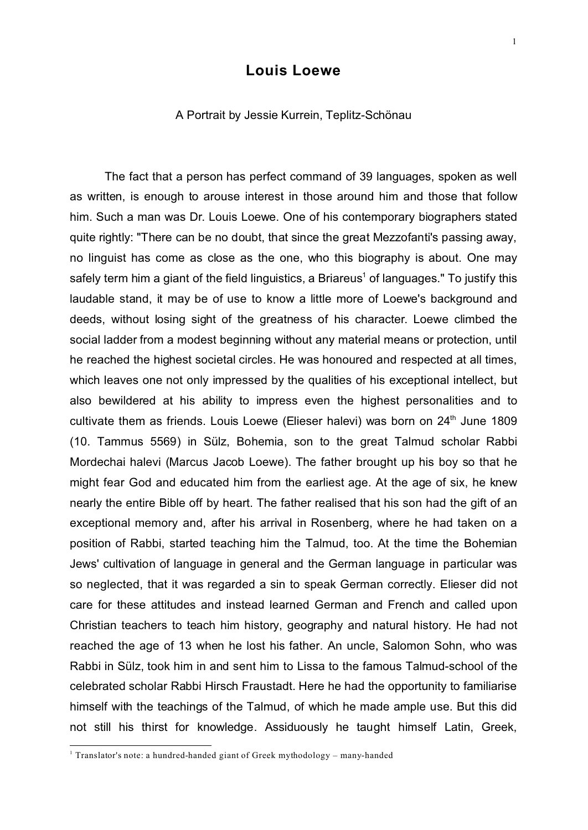## **Louis Loewe**

## A Portrait by Jessie Kurrein, Teplitz-Schönau

The fact that a person has perfect command of 39 languages, spoken as well as written, is enough to arouse interest in those around him and those that follow him. Such a man was Dr. Louis Loewe. One of his contemporary biographers stated quite rightly: "There can be no doubt, that since the great Mezzofanti's passing away, no linguist has come as close as the one, who this biography is about. One may safely term him a giant of the field linguistics, a Briareus<sup>1</sup> of languages." To justify this laudable stand, it may be of use to know a little more of Loewe's background and deeds, without losing sight of the greatness of his character. Loewe climbed the social ladder from a modest beginning without any material means or protection, until he reached the highest societal circles. He was honoured and respected at all times, which leaves one not only impressed by the qualities of his exceptional intellect, but also bewildered at his ability to impress even the highest personalities and to cultivate them as friends. Louis Loewe (Elieser halevi) was born on 24<sup>th</sup> June 1809 (10. Tammus 5569) in Sülz, Bohemia, son to the great Talmud scholar Rabbi Mordechai halevi (Marcus Jacob Loewe). The father brought up his boy so that he might fear God and educated him from the earliest age. At the age of six, he knew nearly the entire Bible off by heart. The father realised that his son had the gift of an exceptional memory and, after his arrival in Rosenberg, where he had taken on a position of Rabbi, started teaching him the Talmud, too. At the time the Bohemian Jews' cultivation of language in general and the German language in particular was so neglected, that it was regarded a sin to speak German correctly. Elieser did not care for these attitudes and instead learned German and French and called upon Christian teachers to teach him history, geography and natural history. He had not reached the age of 13 when he lost his father. An uncle, Salomon Sohn, who was Rabbi in Sülz, took him in and sent him to Lissa to the famous Talmud-school of the celebrated scholar Rabbi Hirsch Fraustadt. Here he had the opportunity to familiarise himself with the teachings of the Talmud, of which he made ample use. But this did not still his thirst for knowledge. Assiduously he taught himself Latin, Greek,

<sup>&</sup>lt;sup>1</sup> Translator's note: a hundred-handed giant of Greek mythodology - many-handed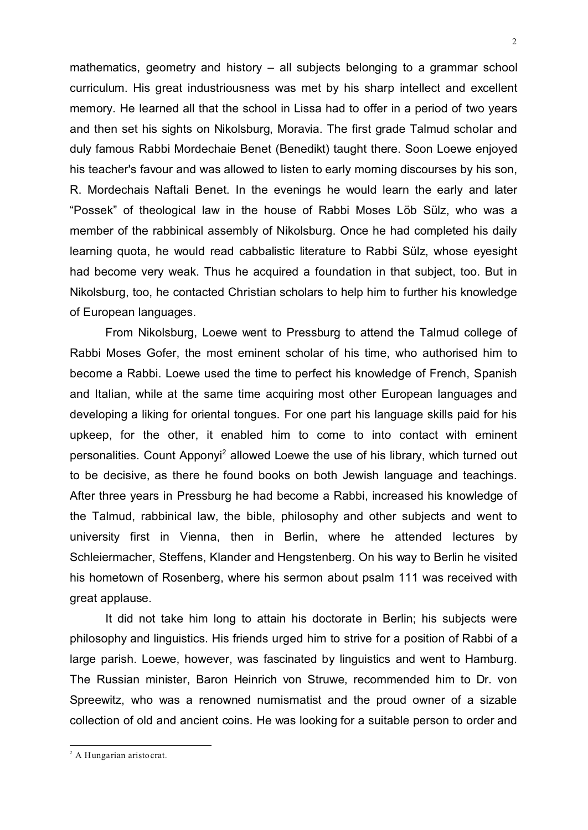mathematics, geometry and history – all subjects belonging to a grammar school curriculum. His great industriousness was met by his sharp intellect and excellent memory. He learned all that the school in Lissa had to offer in a period of two years and then set his sights on Nikolsburg, Moravia. The first grade Talmud scholar and duly famous Rabbi Mordechaie Benet (Benedikt) taught there. Soon Loewe enjoyed his teacher's favour and was allowed to listen to early morning discourses by his son, R. Mordechais Naftali Benet. In the evenings he would learn the early and later "Possek" of theological law in the house of Rabbi Moses Löb Sülz, who was a member of the rabbinical assembly of Nikolsburg. Once he had completed his daily learning quota, he would read cabbalistic literature to Rabbi Sülz, whose eyesight had become very weak. Thus he acquired a foundation in that subject, too. But in Nikolsburg, too, he contacted Christian scholars to help him to further his knowledge of European languages.

From Nikolsburg, Loewe went to Pressburg to attend the Talmud college of Rabbi Moses Gofer, the most eminent scholar of his time, who authorised him to become a Rabbi. Loewe used the time to perfect his knowledge of French, Spanish and Italian, while at the same time acquiring most other European languages and developing a liking for oriental tongues. For one part his language skills paid for his upkeep, for the other, it enabled him to come to into contact with eminent personalities. Count Apponyi<sup>2</sup> allowed Loewe the use of his library, which turned out to be decisive, as there he found books on both Jewish language and teachings. After three years in Pressburg he had become a Rabbi, increased his knowledge of the Talmud, rabbinical law, the bible, philosophy and other subjects and went to university first in Vienna, then in Berlin, where he attended lectures by Schleiermacher, Steffens, Klander and Hengstenberg. On his way to Berlin he visited his hometown of Rosenberg, where his sermon about psalm 111 was received with great applause.

It did not take him long to attain his doctorate in Berlin; his subjects were philosophy and linguistics. His friends urged him to strive for a position of Rabbi of a large parish. Loewe, however, was fascinated by linguistics and went to Hamburg. The Russian minister, Baron Heinrich von Struwe, recommended him to Dr. von Spreewitz, who was a renowned numismatist and the proud owner of a sizable collection of old and ancient coins. He was looking for a suitable person to order and

<sup>&</sup>lt;sup>2</sup> A Hungarian aristocrat.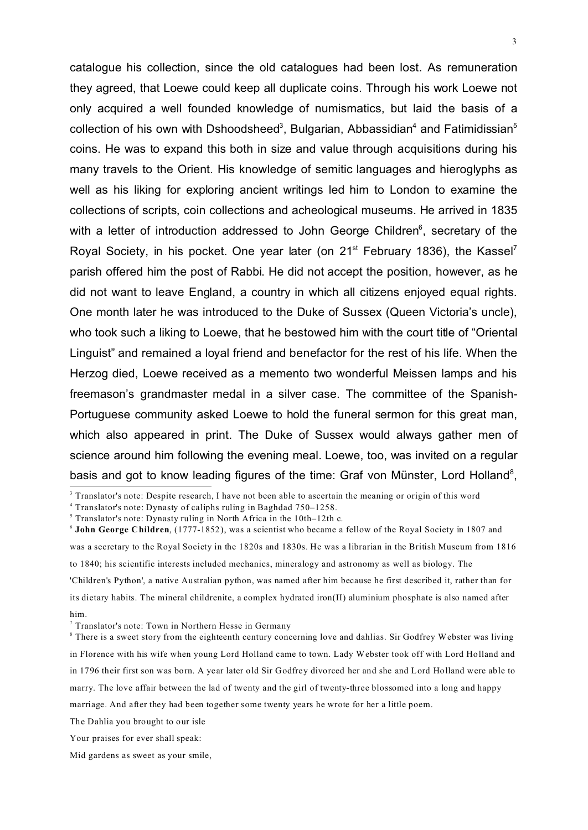3

catalogue his collection, since the old catalogues had been lost. As remuneration they agreed, that Loewe could keep all duplicate coins. Through his work Loewe not only acquired a well founded knowledge of numismatics, but laid the basis of a collection of his own with Dshoodsheed<sup>3</sup>, Bulgarian, Abbassidian<sup>4</sup> and Fatimidissian<sup>5</sup> coins. He was to expand this both in size and value through acquisitions during his many travels to the Orient. His knowledge of semitic languages and hieroglyphs as well as his liking for exploring ancient writings led him to London to examine the collections of scripts, coin collections and acheological museums. He arrived in 1835 with a letter of introduction addressed to John George Children<sup>6</sup>, secretary of the Royal Society, in his pocket. One year later (on  $21<sup>st</sup>$  February 1836), the Kassel<sup>7</sup> parish offered him the post of Rabbi. He did not accept the position, however, as he did not want to leave England, a country in which all citizens enjoyed equal rights. One month later he was introduced to the Duke of Sussex (Queen Victoria's uncle), who took such a liking to Loewe, that he bestowed him with the court title of "Oriental Linguist" and remained a loyal friend and benefactor for the rest of his life. When the Herzog died, Loewe received as a memento two wonderful Meissen lamps and his freemason's grandmaster medal in a silver case. The committee of the Spanish-Portuguese community asked Loewe to hold the funeral sermon for this great man, which also appeared in print. The Duke of Sussex would always gather men of science around him following the evening meal. Loewe, too, was invited on a regular basis and got to know leading figures of the time: Graf von Münster, Lord Holland<sup>8</sup>,

to 1840; his scientific interests included mechanics, mineralogy and astronomy as well as biology. The

'Children's Python', a native Australian python, was named after him because he first described it, rather than for its dietary habits. The mineral childrenite, a complex hydrated iron(II) aluminium phosphate is also named after him.

<sup>&</sup>lt;sup>3</sup> Translator's note: Despite research, I have not been able to ascertain the meaning or origin of this word

<sup>4</sup> Translator's note: Dynasty of caliphs ruling in Baghdad 750–1258.

<sup>&</sup>lt;sup>5</sup> Translator's note: Dynasty ruling in North Africa in the 10th-12th c.

<sup>6</sup> **John George Children**, (1777-1852), was a scientist who became a fellow of the Royal Society in 1807 and

was a secretary to the Royal Society in the 1820s and 1830s. He was a librarian in the British Museum from 1816

<sup>7</sup> Translator's note: Town in Northern Hesse in Germany

<sup>&</sup>lt;sup>8</sup> There is a sweet story from the eighteenth century concerning love and dahlias. Sir Godfrey Webster was living in Florence with his wife when young Lord Holland came to town. Lady Webster took off with Lord Holland and in 1796 their first son was born. A year later old Sir Godfrey divorced her and she and Lord Holland were able to marry. The love affair between the lad of twenty and the girl of twenty-three blossomed into a long and happy marriage. And after they had been together some twenty years he wrote for her a little poem.

The Dahlia you brought to our isle

Your praises for ever shall speak:

Mid gardens as sweet as your smile,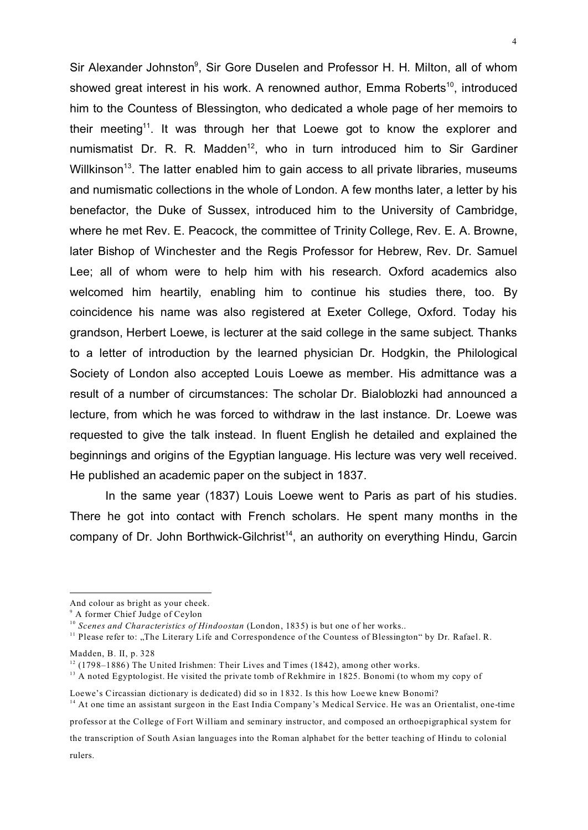Sir Alexander Johnston<sup>9</sup>, Sir Gore Duselen and Professor H. H. Milton, all of whom showed great interest in his work. A renowned author, Emma Roberts<sup>10</sup>, introduced him to the Countess of Blessington, who dedicated a whole page of her memoirs to their meeting<sup>11</sup>. It was through her that Loewe got to know the explorer and numismatist Dr. R. R. Madden<sup>12</sup>, who in turn introduced him to Sir Gardiner Willkinson<sup>13</sup>. The latter enabled him to gain access to all private libraries, museums and numismatic collections in the whole of London. A few months later, a letter by his benefactor, the Duke of Sussex, introduced him to the University of Cambridge, where he met Rev. E. Peacock, the committee of Trinity College, Rev. E. A. Browne, later Bishop of Winchester and the Regis Professor for Hebrew, Rev. Dr. Samuel Lee; all of whom were to help him with his research. Oxford academics also welcomed him heartily, enabling him to continue his studies there, too. By coincidence his name was also registered at Exeter College, Oxford. Today his grandson, Herbert Loewe, is lecturer at the said college in the same subject. Thanks to a letter of introduction by the learned physician Dr. Hodgkin, the Philological Society of London also accepted Louis Loewe as member. His admittance was a result of a number of circumstances: The scholar Dr. Bialoblozki had announced a lecture, from which he was forced to withdraw in the last instance. Dr. Loewe was requested to give the talk instead. In fluent English he detailed and explained the beginnings and origins of the Egyptian language. His lecture was very well received. He published an academic paper on the subject in 1837.

In the same year (1837) Louis Loewe went to Paris as part of his studies. There he got into contact with French scholars. He spent many months in the company of Dr. John Borthwick-Gilchrist<sup>14</sup>, an authority on everything Hindu, Garcin

Madden, B. II, p. 328

professor at the College of Fort William and seminary instructor, and composed an orthoepigraphical system for

the transcription of South Asian languages into the Roman alphabet for the better teaching of Hindu to colonial rulers.

And colour as bright as your cheek.

<sup>9</sup> A former Chief Judge of Ceylon

<sup>&</sup>lt;sup>10</sup> *Scenes and Characteristics of Hindoostan* (London, 1835) is but one of her works..

<sup>&</sup>lt;sup>11</sup> Please refer to: "The Literary Life and Correspondence of the Countess of Blessington" by Dr. Rafael. R.

 $12$  (1798–1886) The United Irishmen: Their Lives and Times (1842), among other works.

<sup>&</sup>lt;sup>13</sup> A noted Egyptologist. He visited the private tomb of Rekhmire in 1825. Bonomi (to whom my copy of

Loewe's Circassian dictionary is dedicated) did so in 1832. Is this how Loewe knew Bonomi? <sup>14</sup> At one time an assistant surgeon in the East India Company's Medical Service. He was an Orientalist, one-time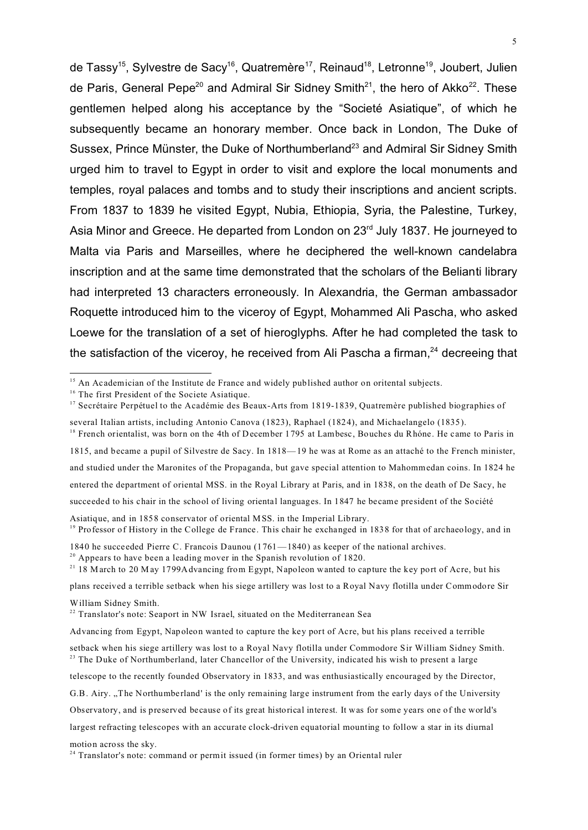de Tassy<sup>15</sup>, Sylvestre de Sacy<sup>16</sup>, Quatremère<sup>17</sup>, Reinaud<sup>18</sup>, Letronne<sup>19</sup>, Joubert, Julien de Paris, General Pepe<sup>20</sup> and Admiral Sir Sidney Smith<sup>21</sup>, the hero of Akko<sup>22</sup>. These gentlemen helped along his acceptance by the "Societé Asiatique", of which he subsequently became an honorary member. Once back in London, The Duke of Sussex, Prince Münster, the Duke of Northumberland<sup>23</sup> and Admiral Sir Sidney Smith urged him to travel to Egypt in order to visit and explore the local monuments and temples, royal palaces and tombs and to study their inscriptions and ancient scripts. From 1837 to 1839 he visited Egypt, Nubia, Ethiopia, Syria, the Palestine, Turkey, Asia Minor and Greece. He departed from London on 23<sup>rd</sup> July 1837. He journeyed to Malta via Paris and Marseilles, where he deciphered the well-known candelabra inscription and at the same time demonstrated that the scholars of the Belianti library had interpreted 13 characters erroneously. In Alexandria, the German ambassador Roquette introduced him to the viceroy of Egypt, Mohammed Ali Pascha, who asked Loewe for the translation of a set of hieroglyphs. After he had completed the task to the satisfaction of the viceroy, he received from Ali Pascha a firman. $24$  decreeing that

<sup>18</sup> French orientalist, was born on the 4th of December 1795 at Lambesc, Bouches du Rhóne. He came to Paris in 1815, and became a pupil of Silvestre de Sacy. In 1818—19 he was at Rome as an attaché to the French minister, and studied under the Maronites of the Propaganda, but gave special attention to Mahommedan coins. In 1824 he entered the department of oriental MSS. in the Royal Library at Paris, and in 1838, on the death of De Sacy, he succeeded to his chair in the school of living oriental languages. In 1847 he became president of the Société

Asiatique, and in 1858 conservator of oriental MSS. in the Imperial Library. <sup>19</sup> Professor of History in the College de France. This chair he exchanged in 1838 for that of archaeology, and in

 $20$  Appears to have been a leading mover in the Spanish revolution of 1820.

motion across the sky.

<sup>&</sup>lt;sup>15</sup> An Academician of the Institute de France and widely published author on oritental subjects.

<sup>&</sup>lt;sup>16</sup> The first President of the Societe Asiatique.

<sup>&</sup>lt;sup>17</sup> Secrétaire Perpétuel to the Académie des Beaux-Arts from 1819-1839, Quatremère published biographies of

several Italian artists, including Antonio Canova (1823), Raphael (1824), and Michaelangelo (1835).

<sup>1840</sup> he succeeded Pierre C. Francois Daunou (1761—1840) as keeper of the national archives.

<sup>&</sup>lt;sup>21</sup> 18 March to 20 May 1799Advancing from Egypt, Napoleon wanted to capture the key port of Acre, but his

plans received a terrible setback when his siege artillery was lost to a Royal Navy flotilla under Commodore Sir William Sidney Smith.

<sup>&</sup>lt;sup>22</sup> Translator's note: Seaport in NW Israel, situated on the Mediterranean Sea

Advancing from Egypt, Napoleon wanted to capture the key port of Acre, but his plans received a terrible

setback when his siege artillery was lost to a Royal Navy flotilla under Commodore Sir William Sidney Smith. <sup>23</sup> The Duke of Northumberland, later Chancellor of the University, indicated his wish to present a large

telescope to the recently founded Observatory in 1833, and was enthusiastically encouraged by the Director,

G.B. Airy. "The Northumberland' is the only remaining large instrument from the early days of the University

Observatory, and is preserved because of its great historical interest. It was for some years one of the world's

largest refracting telescopes with an accurate clock-driven equatorial mounting to follow a star in its diurnal

<sup>&</sup>lt;sup>24</sup> Translator's note: command or permit issued (in former times) by an Oriental ruler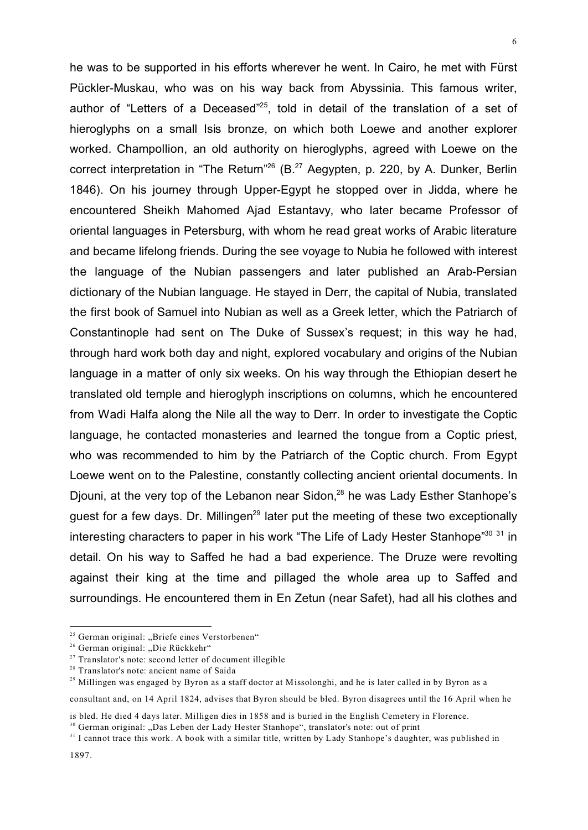he was to be supported in his efforts wherever he went. In Cairo, he met with Fürst Pückler-Muskau, who was on his way back from Abyssinia. This famous writer, author of "Letters of a Deceased"<sup>25</sup>, told in detail of the translation of a set of hieroglyphs on a small Isis bronze, on which both Loewe and another explorer worked. Champollion, an old authority on hieroglyphs, agreed with Loewe on the correct interpretation in "The Return"<sup>26</sup> (B.<sup>27</sup> Aegypten, p. 220, by A. Dunker, Berlin 1846). On his journey through Upper-Egypt he stopped over in Jidda, where he encountered Sheikh Mahomed Ajad Estantavy, who later became Professor of oriental languages in Petersburg, with whom he read great works of Arabic literature and became lifelong friends. During the see voyage to Nubia he followed with interest the language of the Nubian passengers and later published an Arab-Persian dictionary of the Nubian language. He stayed in Derr, the capital of Nubia, translated the first book of Samuel into Nubian as well as a Greek letter, which the Patriarch of Constantinople had sent on The Duke of Sussex's request; in this way he had, through hard work both day and night, explored vocabulary and origins of the Nubian language in a matter of only six weeks. On his way through the Ethiopian desert he translated old temple and hieroglyph inscriptions on columns, which he encountered from Wadi Halfa along the Nile all the way to Derr. In order to investigate the Coptic language, he contacted monasteries and learned the tongue from a Coptic priest, who was recommended to him by the Patriarch of the Coptic church. From Egypt Loewe went on to the Palestine, constantly collecting ancient oriental documents. In Djouni, at the very top of the Lebanon near Sidon,<sup>28</sup> he was Lady Esther Stanhope's guest for a few days. Dr. Millingen<sup>29</sup> later put the meeting of these two exceptionally interesting characters to paper in his work "The Life of Lady Hester Stanhope"<sup>30</sup> 31 in detail. On his way to Saffed he had a bad experience. The Druze were revolting against their king at the time and pillaged the whole area up to Saffed and surroundings. He encountered them in En Zetun (near Safet), had all his clothes and

<sup>&</sup>lt;sup>25</sup> German original: "Briefe eines Verstorbenen"

<sup>&</sup>lt;sup>26</sup> German original: "Die Rückkehr"

 $27$  Translator's note: second letter of document illegible

<sup>&</sup>lt;sup>28</sup> Translator's note: ancient name of Saida

 $29$  Millingen was engaged by Byron as a staff doctor at Missolonghi, and he is later called in by Byron as a

consultant and, on 14 April 1824, advises that Byron should be bled. Byron disagrees until the 16 April when he

is bled. He died 4 days later. Milligen dies in 1858 and is buried in the English Cemetery in Florence.

<sup>&</sup>lt;sup>30</sup> German original: "Das Leben der Lady Hester Stanhope", translator's note: out of print

<sup>&</sup>lt;sup>31</sup> I cannot trace this work. A book with a similar title, written by Lady Stanhope's daughter, was published in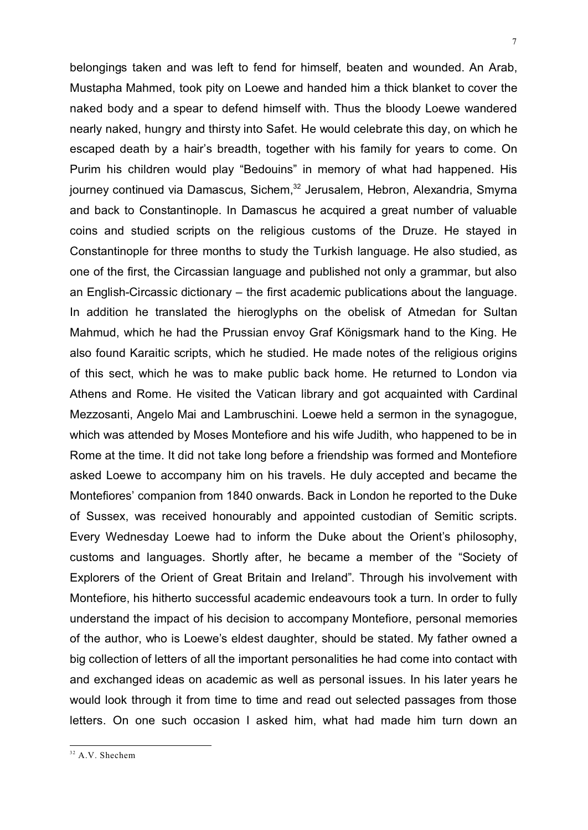belongings taken and was left to fend for himself, beaten and wounded. An Arab, Mustapha Mahmed, took pity on Loewe and handed him a thick blanket to cover the naked body and a spear to defend himself with. Thus the bloody Loewe wandered nearly naked, hungry and thirsty into Safet. He would celebrate this day, on which he escaped death by a hair's breadth, together with his family for years to come. On Purim his children would play "Bedouins" in memory of what had happened. His journey continued via Damascus, Sichem,<sup>32</sup> Jerusalem, Hebron, Alexandria, Smyma and back to Constantinople. In Damascus he acquired a great number of valuable coins and studied scripts on the religious customs of the Druze. He stayed in Constantinople for three months to study the Turkish language. He also studied, as one of the first, the Circassian language and published not only a grammar, but also an English-Circassic dictionary – the first academic publications about the language. In addition he translated the hieroglyphs on the obelisk of Atmedan for Sultan Mahmud, which he had the Prussian envoy Graf Königsmark hand to the King. He also found Karaitic scripts, which he studied. He made notes of the religious origins of this sect, which he was to make public back home. He returned to London via Athens and Rome. He visited the Vatican library and got acquainted with Cardinal Mezzosanti, Angelo Mai and Lambruschini. Loewe held a sermon in the synagogue, which was attended by Moses Montefiore and his wife Judith, who happened to be in Rome at the time. It did not take long before a friendship was formed and Montefiore asked Loewe to accompany him on his travels. He duly accepted and became the Montefiores' companion from 1840 onwards. Back in London he reported to the Duke of Sussex, was received honourably and appointed custodian of Semitic scripts. Every Wednesday Loewe had to inform the Duke about the Orient's philosophy, customs and languages. Shortly after, he became a member of the "Society of Explorers of the Orient of Great Britain and Ireland". Through his involvement with Montefiore, his hitherto successful academic endeavours took a turn. In order to fully understand the impact of his decision to accompany Montefiore, personal memories of the author, who is Loewe's eldest daughter, should be stated. My father owned a big collection of letters of all the important personalities he had come into contact with and exchanged ideas on academic as well as personal issues. In his later years he would look through it from time to time and read out selected passages from those letters. On one such occasion I asked him, what had made him turn down an

<sup>&</sup>lt;sup>32</sup> A.V. Shechem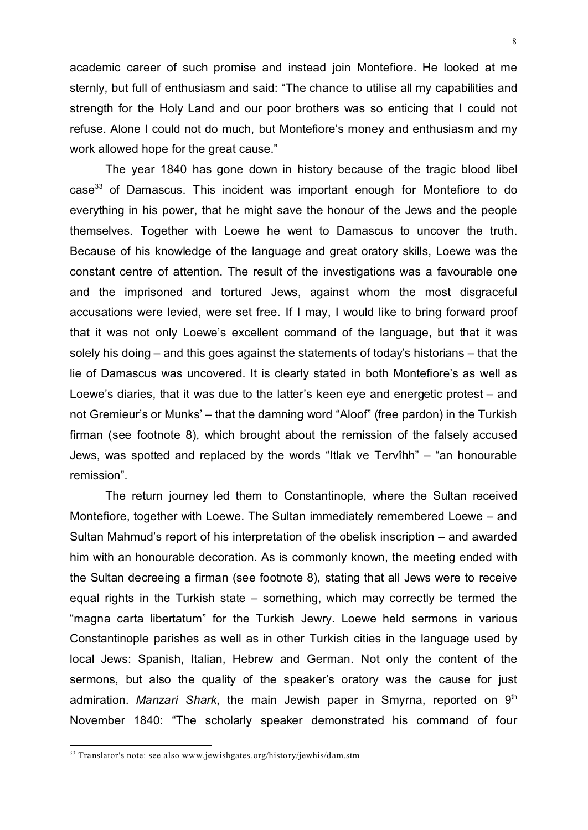academic career of such promise and instead join Montefiore. He looked at me sternly, but full of enthusiasm and said: "The chance to utilise all my capabilities and strength for the Holy Land and our poor brothers was so enticing that I could not refuse. Alone I could not do much, but Montefiore's money and enthusiasm and my work allowed hope for the great cause."

The year 1840 has gone down in history because of the tragic blood libel case<sup>33</sup> of Damascus. This incident was important enough for Montefiore to do everything in his power, that he might save the honour of the Jews and the people themselves. Together with Loewe he went to Damascus to uncover the truth. Because of his knowledge of the language and great oratory skills, Loewe was the constant centre of attention. The result of the investigations was a favourable one and the imprisoned and tortured Jews, against whom the most disgraceful accusations were levied, were set free. If I may, I would like to bring forward proof that it was not only Loewe's excellent command of the language, but that it was solely his doing – and this goes against the statements of today's historians – that the lie of Damascus was uncovered. It is clearly stated in both Montefiore's as well as Loewe's diaries, that it was due to the latter's keen eye and energetic protest – and not Gremieur's or Munks' – that the damning word "Aloof" (free pardon) in the Turkish firman (see footnote 8), which brought about the remission of the falsely accused Jews, was spotted and replaced by the words "Itlak ve Tervîhh" – "an honourable remission".

The return journey led them to Constantinople, where the Sultan received Montefiore, together with Loewe. The Sultan immediately remembered Loewe – and Sultan Mahmud's report of his interpretation of the obelisk inscription – and awarded him with an honourable decoration. As is commonly known, the meeting ended with the Sultan decreeing a firman (see footnote 8), stating that all Jews were to receive equal rights in the Turkish state – something, which may correctly be termed the "magna carta libertatum" for the Turkish Jewry. Loewe held sermons in various Constantinople parishes as well as in other Turkish cities in the language used by local Jews: Spanish, Italian, Hebrew and German. Not only the content of the sermons, but also the quality of the speaker's oratory was the cause for just admiration. *Manzari Shark*, the main Jewish paper in Smyrna, reported on 9<sup>th</sup> November 1840: "The scholarly speaker demonstrated his command of four

<sup>&</sup>lt;sup>33</sup> Translator's note: see also www.jewishgates.org/history/jewhis/dam.stm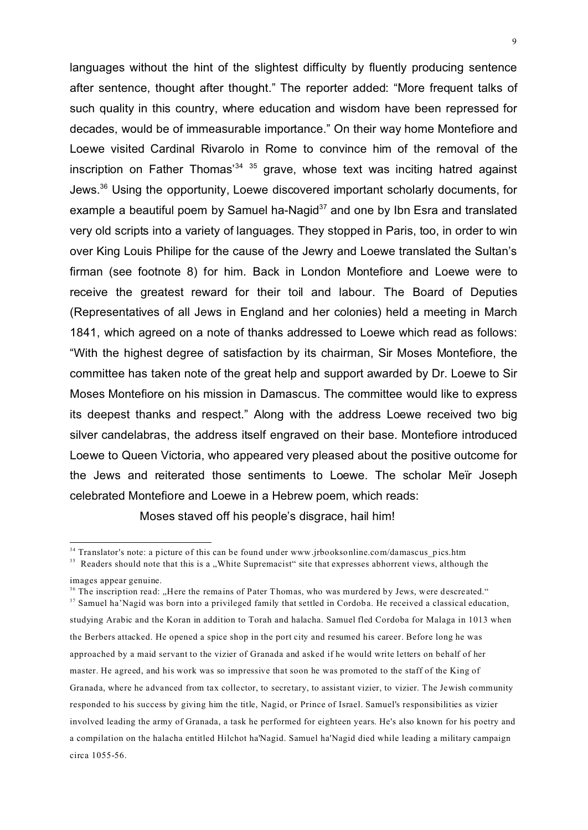languages without the hint of the slightest difficulty by fluently producing sentence after sentence, thought after thought." The reporter added: "More frequent talks of such quality in this country, where education and wisdom have been repressed for decades, would be of immeasurable importance." On their way home Montefiore and Loewe visited Cardinal Rivarolo in Rome to convince him of the removal of the inscription on Father Thomas<sup>34 35</sup> grave, whose text was inciting hatred against Jews.<sup>36</sup> Using the opportunity, Loewe discovered important scholarly documents, for example a beautiful poem by Samuel ha-Nagid $37$  and one by Ibn Esra and translated

very old scripts into a variety of languages. They stopped in Paris, too, in order to win over King Louis Philipe for the cause of the Jewry and Loewe translated the Sultan's firman (see footnote 8) for him. Back in London Montefiore and Loewe were to receive the greatest reward for their toil and labour. The Board of Deputies (Representatives of all Jews in England and her colonies) held a meeting in March 1841, which agreed on a note of thanks addressed to Loewe which read as follows: "With the highest degree of satisfaction by its chairman, Sir Moses Montefiore, the committee has taken note of the great help and support awarded by Dr. Loewe to Sir Moses Montefiore on his mission in Damascus. The committee would like to express its deepest thanks and respect." Along with the address Loewe received two big silver candelabras, the address itself engraved on their base. Montefiore introduced Loewe to Queen Victoria, who appeared very pleased about the positive outcome for the Jews and reiterated those sentiments to Loewe. The scholar Meïr Joseph celebrated Montefiore and Loewe in a Hebrew poem, which reads:

Moses staved off his people's disgrace, hail him!

<sup>&</sup>lt;sup>34</sup> Translator's note: a picture of this can be found under www.jrbooksonline.com/damascus pics.htm

<sup>&</sup>lt;sup>35</sup> Readers should note that this is a "White Supremacist" site that expresses abhorrent views, although the

images appear genuine. <sup>36</sup> The inscription read: "Here the remains of Pater Thomas, who was murdered by Jews, were descreated." <sup>37</sup> Samuel ha'Nagid was born into a privileged family that settled in Cordoba. He received a classical education, studying Arabic and the Koran in addition to Torah and halacha. Samuel fled Cordoba for Malaga in 1013 when the Berbers attacked. He opened a spice shop in the port city and resumed his career. Before long he was approached by a maid servant to the vizier of Granada and asked if he would write letters on behalf of her master. He agreed, and his work was so impressive that soon he was promoted to the staff of the King of Granada, where he advanced from tax collector, to secretary, to assistant vizier, to vizier. The Jewish community responded to his success by giving him the title, Nagid, or Prince of Israel. Samuel's responsibilities as vizier involved leading the army of Granada, a task he performed for eighteen years. He's also known for his poetry and a compilation on the halacha entitled Hilchot ha'Nagid. Samuel ha'Nagid died while leading a military campaign circa 1055-56.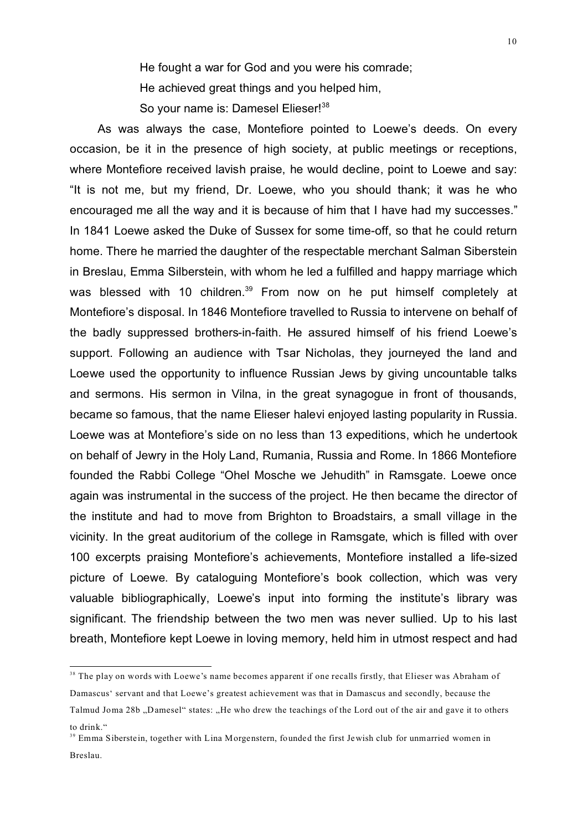He fought a war for God and you were his comrade; He achieved great things and you helped him, So your name is: Damesel Elieser!<sup>38</sup>

As was always the case, Montefiore pointed to Loewe's deeds. On every occasion, be it in the presence of high society, at public meetings or receptions, where Montefiore received lavish praise, he would decline, point to Loewe and say: "It is not me, but my friend, Dr. Loewe, who you should thank; it was he who encouraged me all the way and it is because of him that I have had my successes." In 1841 Loewe asked the Duke of Sussex for some time-off, so that he could return home. There he married the daughter of the respectable merchant Salman Siberstein in Breslau, Emma Silberstein, with whom he led a fulfilled and happy marriage which was blessed with 10 children.<sup>39</sup> From now on he put himself completely at Montefiore's disposal. In 1846 Montefiore travelled to Russia to intervene on behalf of the badly suppressed brothers-in-faith. He assured himself of his friend Loewe's support. Following an audience with Tsar Nicholas, they journeyed the land and Loewe used the opportunity to influence Russian Jews by giving uncountable talks and sermons. His sermon in Vilna, in the great synagogue in front of thousands, became so famous, that the name Elieser halevi enjoyed lasting popularity in Russia. Loewe was at Montefiore's side on no less than 13 expeditions, which he undertook on behalf of Jewry in the Holy Land, Rumania, Russia and Rome. In 1866 Montefiore founded the Rabbi College "Ohel Mosche we Jehudith" in Ramsgate. Loewe once again was instrumental in the success of the project. He then became the director of the institute and had to move from Brighton to Broadstairs, a small village in the vicinity. In the great auditorium of the college in Ramsgate, which is filled with over 100 excerpts praising Montefiore's achievements, Montefiore installed a life-sized picture of Loewe. By cataloguing Montefiore's book collection, which was very valuable bibliographically, Loewe's input into forming the institute's library was significant. The friendship between the two men was never sullied. Up to his last breath, Montefiore kept Loewe in loving memory, held him in utmost respect and had

<sup>&</sup>lt;sup>38</sup> The play on words with Loewe's name becomes apparent if one recalls firstly, that Elieser was Abraham of Damascus' servant and that Loewe's greatest achievement was that in Damascus and secondly, because the Talmud Joma 28b "Damesel" states: "He who drew the teachings of the Lord out of the air and gave it to others to drink."

<sup>&</sup>lt;sup>39</sup> Emma Siberstein, together with Lina Morgenstern, founded the first Jewish club for unmarried women in Breslau.